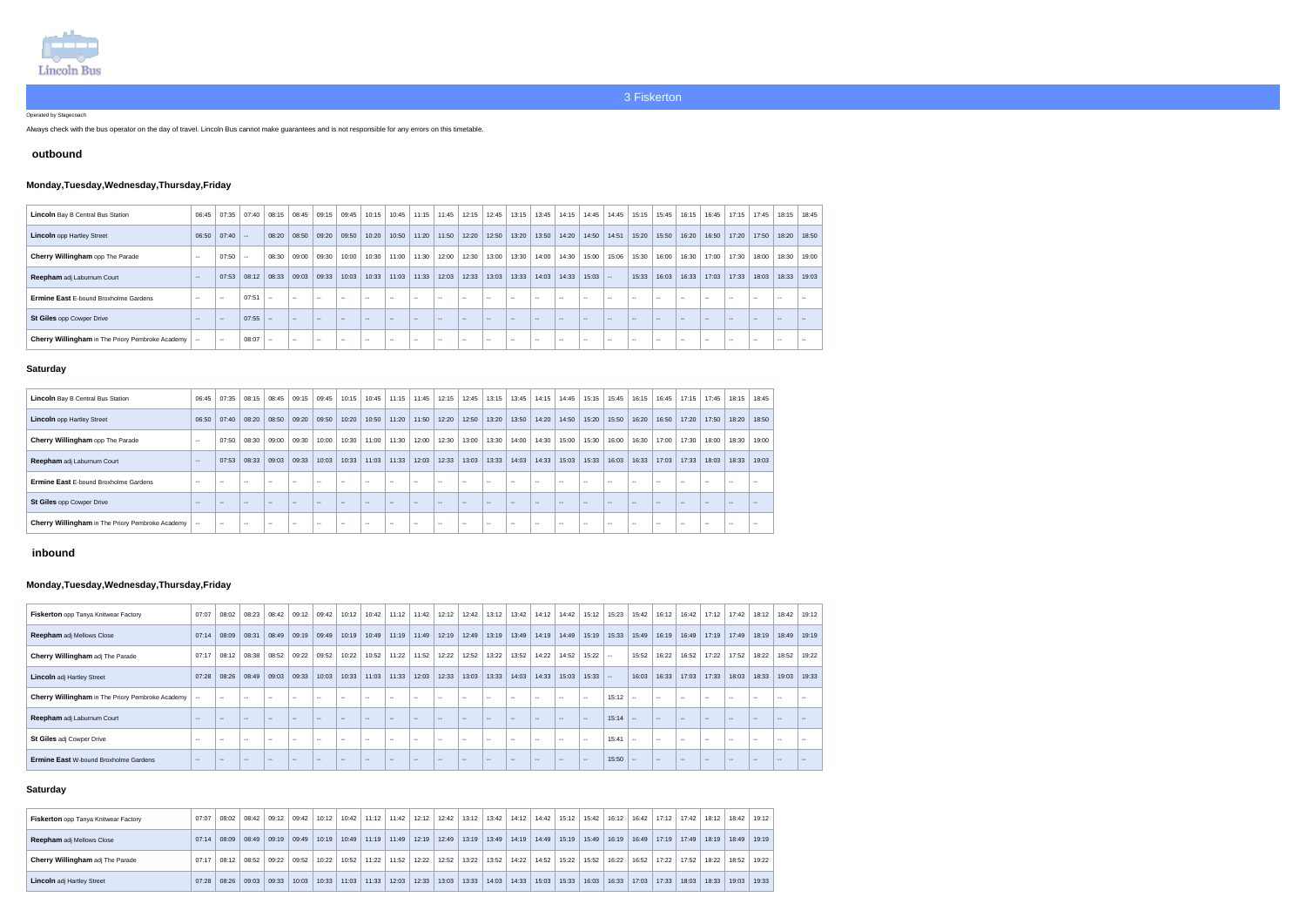

Operated by Stagecoach

Always check with the bus operator on the day of travel. Lincoln Bus cannot make guarantees and is not responsible for any errors on this timetable.

### **outbound**

# **Monday,Tuesday,Wednesday,Thursday,Friday**

| <b>Lincoln</b> Bay B Central Bus Station         | 06:45         | 07:35         | 07:40  | 08:15         | 08:45         | 09:15         | 09:45  | 10:15 | 10:45  | 11:15 | 11:45         | 12:15  | 12:45 |               |               | $13:15$ 13:45 14:15 | 14:45     | 14:45  | 15:15  | 15.45 | 16:15         | 16:45         | 17:15 | 17:45 | $18:15$ 18:45 |       |
|--------------------------------------------------|---------------|---------------|--------|---------------|---------------|---------------|--------|-------|--------|-------|---------------|--------|-------|---------------|---------------|---------------------|-----------|--------|--------|-------|---------------|---------------|-------|-------|---------------|-------|
| <b>Lincoln</b> opp Hartley Street                | 06:50         | $07:40$ --    |        | 08:20         | 08:50         | 09:20         | 09:50  | 10:20 | 10:50  | 11:20 | 11:50         | 12:20  | 12:50 |               | $13:20$ 13:50 | 14:20               | 14:50     | 14:51  | 15:20  | 15:50 | 16:20         | 16:50         | 17:20 | 17:50 | 18:20 18:50   |       |
| Cherry Willingham opp The Parade                 | $\sim$        | 07:50         | $\sim$ | 08:30         | 09:00         | 09:30         | 10:00  | 10:30 | 11:00  | 11:30 | 12:00         | 12:30  | 13:00 |               | $13:30$ 14:00 | 14:30               | 15:00     | 15:06  | 15:30  | 16:00 | 16:30         | 17:00         | 17:30 | 18:00 | 18:30         | 19:00 |
| Reepham adj Laburnum Court                       | $\sim$        | 07:53         | 08:12  | 08:33         | 09:03         | 09:33         | 10:03  | 10:33 | 11:03  | 11:33 | 12:03         | 12:33  | 13:03 | 13:33         | $14:03$ 14:33 |                     | $15:03$ - |        | 15:33  | 16:03 | 16:33         | 17:03         | 17:33 | 18:03 | 18:33 19:03   |       |
| <b>Ermine East E-bound Broxholme Gardens</b>     | $\sim$ $\sim$ | $\sim$ $\sim$ | 07:51  | $\sim$ $\sim$ | $- -$         | $\sim$        | $\sim$ | --    | $\sim$ |       | $\sim$        | $-$    | --    | $-$           | $\sim$        | $ -$                |           | $\sim$ | $\sim$ | --    | $\sim$        | $\sim$        | $-$   |       | $\sim$        |       |
| St Giles opp Cowper Drive                        | $-$           | $\sim$        | 07:55  | $\sim$        | $\sim$ $\sim$ | ---           | $-$    | ---   | $\sim$ |       | $\sim$        | $\sim$ | ---   | $\sim$        | $\sim$        | $-1$                |           | $\sim$ | $\sim$ |       | $\sim$ $\sim$ | $-$           | $-$   |       | $-$           |       |
| Cherry Willingham in The Priory Pembroke Academy |               | $\sim$        | 08:07  | $\sim$ $\sim$ | $- -$         | $\sim$ $\sim$ | $- -$  | $-$   | $- -$  | $- -$ | $\sim$ $\sim$ | $-1$   | $- -$ | $\sim$ $\sim$ | $- -$         | $- -$               | $- -$     | $\sim$ |        | --    | $\sim$ $\sim$ | $\sim$ $\sim$ | $- -$ | $- -$ | $\sim$        |       |

### **Saturday**

| <b>Lincoln</b> Bay B Central Bus Station                | 06:45                    | 07:35         | 08:15  | 08:45      | 09:15                    | 09:45  | 10:15         | 10:45         | 11:15         | 11:45      | 12:15 | 12:45         | 13:15         | 13:45  | 14:15         | 14:45         | 15:15                    | 15:45                    | 16:15         | 16:45                    | 17:15         | 17:45 | 18:15  | 18:45         |
|---------------------------------------------------------|--------------------------|---------------|--------|------------|--------------------------|--------|---------------|---------------|---------------|------------|-------|---------------|---------------|--------|---------------|---------------|--------------------------|--------------------------|---------------|--------------------------|---------------|-------|--------|---------------|
| <b>Lincoln</b> opp Hartley Street                       | 06:50                    | 07:40         | 08:20  | 08:50      | 09:20                    | 09:50  | 10:20         | 10:50         | 11:20         | 11:50      | 12:20 | 12:50         | 13:20         | 13:50  | 14:20         | 14:50         | 15:20                    | 15:50                    | 16:20         | 16:50                    | 17:20         | 17:50 | 18:20  | 18:50         |
| Cherry Willingham opp The Parade                        | $\sim$ $\sim$            | 07:50         | 08:30  | 09:00      | 09:30                    | 10:00  | 10:30         | 11:00         | 11:30         | 12:00      | 12:30 | 13:00         | 13:30         | 14:00  | 14:30         | 15:00         | 15:30                    | 16:00                    | 16:30         | 17:00                    | 17:30         | 18:00 | 18:30  | 19:00         |
| Reepham adj Laburnum Court                              | $\sim$ $\sim$            | 07:53         | 08:33  | 09:03      | 09:33                    | 10:03  | 10:33         | 11:03         | 11:33         | 12:03      | 12:33 | 13:03         | 13:33         | 14:03  | 14:33         | 15:03         | 15:33                    | 16:03                    | 16:33         | 17:03                    | 17:33         | 18:03 | 18:33  | 19:03         |
| <b>Ermine East E-bound Broxholme Gardens</b>            | $\sim$ $\sim$            | --            | $\sim$ | $\sim$     | --                       | $- -$  | --            | $\sim$ $\sim$ | $\sim$        |            | --    | $\sim$        | $\sim$ $\sim$ | ---    | $-$           | $\sim$        | $\overline{\phantom{a}}$ | $\sim$                   | $\sim$ $\sim$ | $\overline{a}$           |               | $- -$ | $\sim$ | $\sim$        |
| <b>St Giles opp Cowper Drive</b>                        | $\sim$ $\sim$            | $\sim$        | $\sim$ | $\sim$ $-$ | $\overline{\phantom{m}}$ | $\sim$ | $\sim$        | $\sim$ $\sim$ | $-$           | $\sim$ $-$ | $-$   | $\sim$        | $\sim$ $\sim$ | $\sim$ | $-$           | $\sim$ $\sim$ | $\overline{\phantom{a}}$ | $\overline{\phantom{a}}$ | $\sim$ $\sim$ | $\overline{\phantom{a}}$ | $\sim$ $\sim$ | $- -$ | $\sim$ | $\sim$ $\sim$ |
| <b>Cherry Willingham</b> in The Priory Pembroke Academy | $\overline{\phantom{a}}$ | $\sim$ $\sim$ | $\sim$ | $- -$      | $\sim$ $\sim$            | $- -$  | $\sim$ $\sim$ | $\sim$        | $\sim$ $\sim$ | $- -$      | $- -$ | $\sim$ $\sim$ | $\sim$ $\sim$ | $- -$  | $\sim$ $\sim$ | $-1$          | $\sim$                   | $\sim$ $\sim$            | $\sim$ $\sim$ | $\sim$ $\sim$            | $-1$          | $- -$ | $\sim$ | $\sim$ $\sim$ |

# **inbound**

# **Monday,Tuesday,Wednesday,Thursday,Friday**

| <b>Fiskerton</b> opp Tanya Knitwear Factory      | 07:07  | 08:02  | 08:23  | 08:42         | 09:12         | 09:42         | 10:12         | 10:42  | 11:12         | 11:42         | 12:12         | 12:42                    | 13:12                    | 13:42         | 14:12 14:42     |               | 15:12     | 15:23 | 15:42         | 16:12  | 16:42         | 17:12                    | 17:42 | 18:12         | 18:42         | 19:12                    |
|--------------------------------------------------|--------|--------|--------|---------------|---------------|---------------|---------------|--------|---------------|---------------|---------------|--------------------------|--------------------------|---------------|-----------------|---------------|-----------|-------|---------------|--------|---------------|--------------------------|-------|---------------|---------------|--------------------------|
| <b>Reepham</b> adj Mellows Close                 | 07:14  | 08:09  | 08:31  | 08:49         | 09:19         | 09:49         | 10:19         |        | $10:49$ 11:19 | 11:49         | 12:19         | 12:49                    | 13:19                    | 13:49         | 14:19 14:49     |               | 15:19     | 15:33 | 15:49         | 16:19  | 16:49         | 17:19                    | 17:49 | 18:19         | 18:49         | 19:19                    |
| Cherry Willingham adj The Parade                 | 07:17  | 08:12  | 08:38  | 08:52         | 09:22         | 09:52         | 10:22         | 10:52  | 11:22         | 11:52         | 12:22         | 12:52                    | 13:22                    | 13:52         | $14.22$   14.52 |               | $15:22$ - |       | 15:52         | 16:22  | 16:52         | 17:22                    | 17:52 | 18:22         | 18:52         | 19:22                    |
| <b>Lincoln</b> adj Hartley Street                | 07:28  | 08:26  | 08:49  | 09:03         | 09:33         | 10:03         | 10:33         | 11:03  | 11:33         | 12:03         | 12:33         | 13:03                    | 13:33                    | 14:03         | 14:33           | 15:03         | $15:33$ - |       | 16:03         | 16:33  | 17:03         | 17:33                    | 18:03 | 18:33         | 19:03         | 19:33                    |
| Cherry Willingham in The Priory Pembroke Academy |        | $\sim$ | --     | $\sim$        | $\sim$        | $\sim$        | $\sim$ $\sim$ | $\sim$ | $\sim$        | $\sim$ $\sim$ | $\sim$ $\sim$ | $\sim$                   | $- -$                    | $- -$         | $\sim$ $\sim$   | $- -$         | $ -$      | 15:12 | $\sim$ $\sim$ | $\sim$ | $\sim$ $\sim$ | $\sim$ $\sim$            | $-$   | $\sim$ $\sim$ | $\sim$ $\sim$ | $- -$                    |
| Reepham adj Laburnum Court                       | $\sim$ | $\sim$ | $\sim$ | $\sim$ $\sim$ | $\sim$ $\sim$ | $\sim$ $\sim$ | $\sim$ $\sim$ | $\sim$ | $\sim$        | $\sim$        | $\sim$        | $\sim$                   | $\sim$                   | $\sim$        | $- -$           | $- -$         | $\sim$    | 15:14 | $\sim$        | $\sim$ | $\sim$        | $\sim$ $\sim$            | $-$   | $\sim$ $\sim$ | $-$           | $\overline{\phantom{m}}$ |
| <b>St Giles adj Cowper Drive</b>                 | $\sim$ | $- -$  | $\sim$ | $-$           | $-$           | $\sim$        | $\sim$        | $\sim$ | $-$           | $\sim$ $\sim$ | $\sim$        | $\sim$                   | $\sim$                   | $\sim$ $\sim$ | $\sim$ $\sim$   | $\sim$ $\sim$ | $\sim$    | 15:41 | $\sim$ $\sim$ | $\sim$ | <b>COLUM</b>  | $\sim$ $-$               | --    | $\sim$ $\sim$ | $\sim$ $\sim$ | $\overline{\phantom{m}}$ |
| <b>Ermine East W-bound Broxholme Gardens</b>     | $\sim$ | $-$    |        | $- -$         | $- -$         | $\sim$ $-$    |               |        | $-$           | $\sim$ $\sim$ | $\sim$ $\sim$ | $\overline{\phantom{a}}$ | $\overline{\phantom{m}}$ |               | $- -$           | $\sim$        | $\sim$    | 15:50 | $\sim$        | $\sim$ | $- -$         | $\overline{\phantom{m}}$ | $-$   | $\sim$ $\sim$ |               |                          |

### **Saturday**

| <b>Fiskerton</b> opp Tanya Knitwear Factory | 07:07 | 08:02         | 08:42 | 09:12 | 09:42 | $10:12$ | 10:42 | 11:12 | 11:42 | $12:12$ 12:42 |       |       |       | $13:12$   13:42   14:12                 | $14:42$ 15:12 |       | 15:42 | 16:12 |       | 16:42   17:12   17:42 |       | 18:12 | 18:42 | 19:12 |
|---------------------------------------------|-------|---------------|-------|-------|-------|---------|-------|-------|-------|---------------|-------|-------|-------|-----------------------------------------|---------------|-------|-------|-------|-------|-----------------------|-------|-------|-------|-------|
| <b>Reepham</b> adj Mellows Close            |       | $07:14$ 08:09 | 08:49 | 09:19 | 09:49 | 10:19   | 10:49 | 11:19 | 11:49 | $12:19$ 12:49 |       |       |       | $13:19$   13:49   14:19   14:49   15:19 |               |       | 15:49 | 16:19 | 16:49 | 17:19                 | 17:49 | 18:19 | 18:49 | 19:19 |
| <b>Cherry Willingham adj The Parade</b>     | 07:17 | 08:12         | 08:52 | 09:22 | 09:52 | 10:22   | 10:52 | 11:22 | 11:52 | 12:22         | 12:52 | 13:22 | 13:52 | 14:22                                   | 14:52         | 15:22 | 15:52 | 16:22 | 16:52 | 17:22                 | 17:52 | 18:22 | 18:52 | 19:22 |
| <b>Lincoln</b> adj Hartley Street           | 07:28 | 08:26         | 09:03 | 09:33 | 10:03 | 10:33   | 11:03 | 11:33 | 12:03 | 12:33         | 13:03 | 13:33 | 14:03 | 14:33                                   | 15:03         | 15:33 | 16:03 | 16:33 |       | 17:03 17:33           | 18:03 | 18:33 | 19:03 | 19:33 |